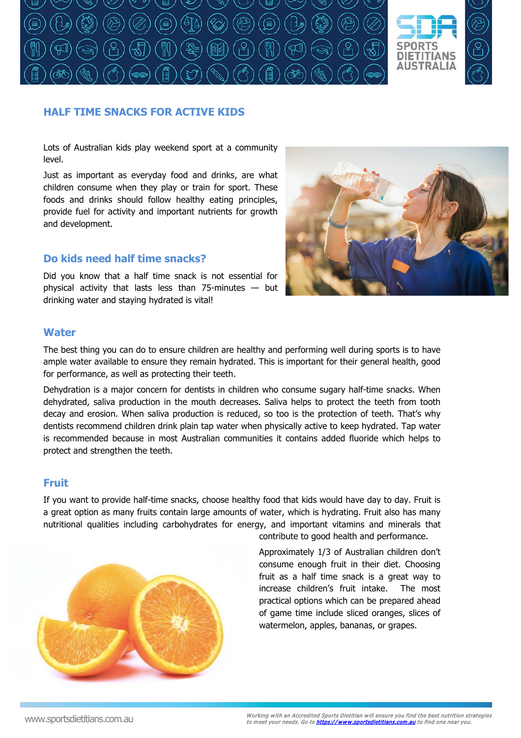

# **HALF TIME SNACKS FOR ACTIVE KIDS**

Lots of Australian kids play weekend sport at a community level.

Just as important as everyday food and drinks, are what children consume when they play or train for sport. These foods and drinks should follow healthy eating principles, provide fuel for activity and important nutrients for growth and development.

## **Do kids need half time snacks?**

Did you know that a half time snack is not essential for physical activity that lasts less than 75-minutes — but drinking water and staying hydrated is vital!



#### **Water**

The best thing you can do to ensure children are healthy and performing well during sports is to have ample water available to ensure they remain hydrated. This is important for their general health, good for performance, as well as protecting their teeth.

Dehydration is a major concern for dentists in children who consume sugary half-time snacks. When dehydrated, saliva production in the mouth decreases. Saliva helps to protect the teeth from tooth decay and erosion. When saliva production is reduced, so too is the protection of teeth. That's why dentists recommend children drink plain tap water when physically active to keep hydrated. Tap water is recommended because in most Australian communities it contains added fluoride which helps to protect and strengthen the teeth.

#### **Fruit**

If you want to provide half-time snacks, choose healthy food that kids would have day to day. Fruit is a great option as many fruits contain large amounts of water, which is hydrating. Fruit also has many nutritional qualities including carbohydrates for energy, and important vitamins and minerals that contribute to good health and performance.



Approximately 1/3 of Australian children don't consume enough fruit in their diet. Choosing fruit as a half time snack is a great way to increase children's fruit intake. The most practical options which can be prepared ahead of game time include sliced oranges, slices of watermelon, apples, bananas, or grapes.